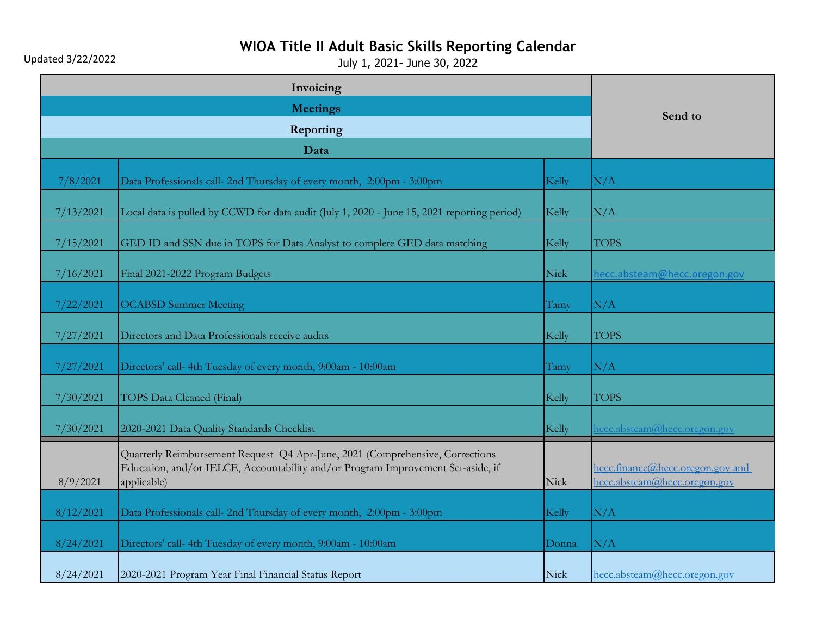Updated 3/22/2022

# **WIOA Title II Adult Basic Skills Reporting Calendar**

|                 | Invoicing                                                                                                                                                                        |       |                                                                  |
|-----------------|----------------------------------------------------------------------------------------------------------------------------------------------------------------------------------|-------|------------------------------------------------------------------|
| <b>Meetings</b> |                                                                                                                                                                                  |       | Send to                                                          |
| Reporting       |                                                                                                                                                                                  |       |                                                                  |
|                 | Data                                                                                                                                                                             |       |                                                                  |
| 7/8/2021        | Data Professionals call- 2nd Thursday of every month, 2:00pm - 3:00pm                                                                                                            | Kelly | N/A                                                              |
| 7/13/2021       | Local data is pulled by CCWD for data audit (July 1, 2020 - June 15, 2021 reporting period)                                                                                      | Kelly | N/A                                                              |
| 7/15/2021       | GED ID and SSN due in TOPS for Data Analyst to complete GED data matching                                                                                                        | Kelly | <b>TOPS</b>                                                      |
| 7/16/2021       | Final 2021-2022 Program Budgets                                                                                                                                                  | Nick  | necc.absteam@hecc.oregon.gov                                     |
| 7/22/2021       | <b>OCABSD Summer Meeting</b>                                                                                                                                                     | Tamy  | N/A                                                              |
| 7/27/2021       | Directors and Data Professionals receive audits                                                                                                                                  | Kelly | <b>TOPS</b>                                                      |
| 7/27/2021       | Directors' call- 4th Tuesday of every month, 9:00am - 10:00am                                                                                                                    | Tamy  | N/A                                                              |
| 7/30/2021       | <b>TOPS Data Cleaned (Final)</b>                                                                                                                                                 | Kelly | <b>TOPS</b>                                                      |
| 7/30/2021       | 2020-2021 Data Quality Standards Checklist                                                                                                                                       | Kelly | necc.absteam@hecc.oregon.gov                                     |
| 8/9/2021        | Quarterly Reimbursement Request Q4 Apr-June, 2021 (Comprehensive, Corrections<br>Education, and/or IELCE, Accountability and/or Program Improvement Set-aside, if<br>applicable) | Nick  | hecc.finance@hecc.oregon.gov and<br>hecc.absteam@hecc.oregon.gov |
| 8/12/2021       | Data Professionals call- 2nd Thursday of every month, 2:00pm - 3:00pm                                                                                                            | Kelly | N/A                                                              |
| 8/24/2021       | Directors' call-4th Tuesday of every month, 9:00am - 10:00am                                                                                                                     | Donna | N/A                                                              |
| 8/24/2021       | 2020-2021 Program Year Final Financial Status Report                                                                                                                             | Nick  | hecc.absteam@hecc.oregon.gov                                     |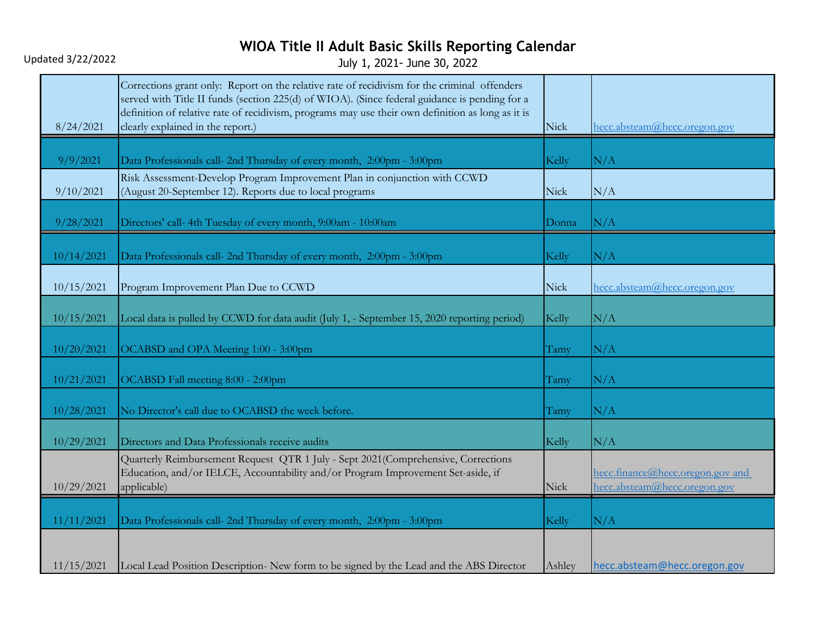Updated 3/22/2022

| 8/24/2021  | Corrections grant only: Report on the relative rate of recidivism for the criminal offenders<br>served with Title II funds (section 225(d) of WIOA). (Since federal guidance is pending for a<br>definition of relative rate of recidivism, programs may use their own definition as long as it is<br>clearly explained in the report.) | Nick   | hecc.absteam@hecc.oregon.gov                                     |
|------------|-----------------------------------------------------------------------------------------------------------------------------------------------------------------------------------------------------------------------------------------------------------------------------------------------------------------------------------------|--------|------------------------------------------------------------------|
| 9/9/2021   | Data Professionals call- 2nd Thursday of every month, 2:00pm - 3:00pm                                                                                                                                                                                                                                                                   | Kelly  | N/A                                                              |
| 9/10/2021  | Risk Assessment-Develop Program Improvement Plan in conjunction with CCWD<br>(August 20-September 12). Reports due to local programs                                                                                                                                                                                                    | Nick   | N/A                                                              |
| 9/28/2021  | Directors' call-4th Tuesday of every month, 9:00am - 10:00am                                                                                                                                                                                                                                                                            | Donna  | N/A                                                              |
| 10/14/2021 | Data Professionals call- 2nd Thursday of every month, 2:00pm - 3:00pm                                                                                                                                                                                                                                                                   | Kelly  | N/A                                                              |
| 10/15/2021 | Program Improvement Plan Due to CCWD                                                                                                                                                                                                                                                                                                    | Nick   | hecc.absteam@hecc.oregon.gov                                     |
| 10/15/2021 | Local data is pulled by CCWD for data audit (July 1, - September 15, 2020 reporting period)                                                                                                                                                                                                                                             | Kelly  | N/A                                                              |
| 10/20/2021 | OCABSD and OPA Meeting 1:00 - 3:00pm                                                                                                                                                                                                                                                                                                    | Tamy   | N/A                                                              |
| 10/21/2021 | OCABSD Fall meeting 8:00 - 2:00pm                                                                                                                                                                                                                                                                                                       | Tamy   | N/A                                                              |
| 10/28/2021 | No Director's call due to OCABSD the week before.                                                                                                                                                                                                                                                                                       | Tamy   | N/A                                                              |
| 10/29/2021 | Directors and Data Professionals receive audits                                                                                                                                                                                                                                                                                         | Kelly  | N/A                                                              |
| 10/29/2021 | Quarterly Reimbursement Request QTR 1 July - Sept 2021 (Comprehensive, Corrections<br>Education, and/or IELCE, Accountability and/or Program Improvement Set-aside, if<br>applicable)                                                                                                                                                   | Nick   | hecc.finance@hecc.oregon.gov and<br>hecc.absteam@hecc.oregon.gov |
| 11/11/2021 | Data Professionals call- 2nd Thursday of every month, 2:00pm - 3:00pm                                                                                                                                                                                                                                                                   | Kelly  | N/A                                                              |
| 11/15/2021 | Local Lead Position Description-New form to be signed by the Lead and the ABS Director                                                                                                                                                                                                                                                  | Ashley | hecc.absteam@hecc.oregon.gov                                     |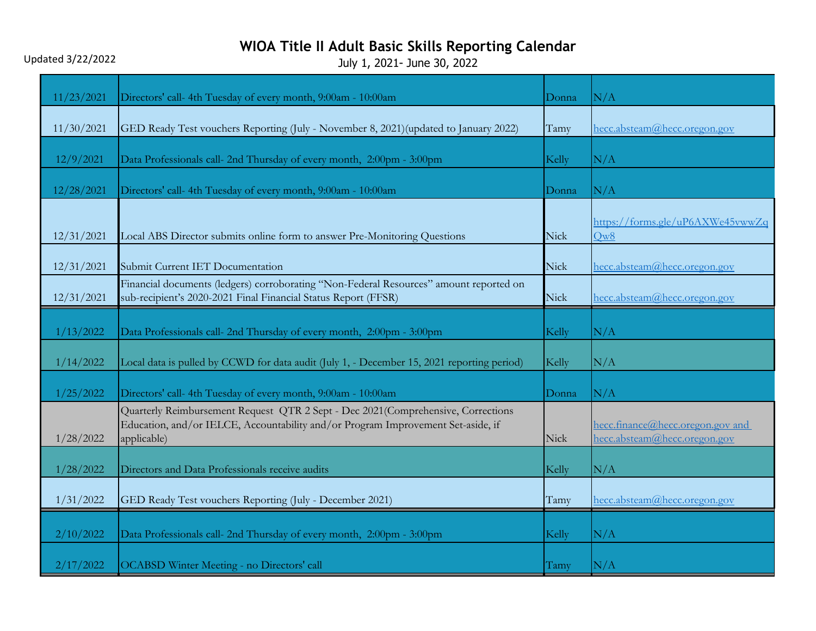### Updated 3/22/2022

| 11/23/2021 | Directors' call-4th Tuesday of every month, 9:00am - 10:00am                                                                                                                         | Donna | N/A                                                              |
|------------|--------------------------------------------------------------------------------------------------------------------------------------------------------------------------------------|-------|------------------------------------------------------------------|
| 11/30/2021 | GED Ready Test vouchers Reporting (July - November 8, 2021) (updated to January 2022)                                                                                                | Tamy  | hecc.absteam@hecc.oregon.gov                                     |
| 12/9/2021  | Data Professionals call- 2nd Thursday of every month, 2:00pm - 3:00pm                                                                                                                | Kelly | N/A                                                              |
| 12/28/2021 | Directors' call-4th Tuesday of every month, 9:00am - 10:00am                                                                                                                         | Donna | N/A                                                              |
| 12/31/2021 | Local ABS Director submits online form to answer Pre-Monitoring Questions                                                                                                            | Nick  | https://forms.gle/uP6AXWe45vwwZq<br>Qw8                          |
| 12/31/2021 | Submit Current IET Documentation                                                                                                                                                     | Nick  | hecc.absteam@hecc.oregon.gov                                     |
| 12/31/2021 | Financial documents (ledgers) corroborating "Non-Federal Resources" amount reported on<br>sub-recipient's 2020-2021 Final Financial Status Report (FFSR)                             | Nick  | hecc.absteam@hecc.oregon.gov                                     |
| 1/13/2022  | Data Professionals call- 2nd Thursday of every month, 2:00pm - 3:00pm                                                                                                                | Kelly | N/A                                                              |
| 1/14/2022  | Local data is pulled by CCWD for data audit (July 1, - December 15, 2021 reporting period)                                                                                           | Kelly | N/A                                                              |
| 1/25/2022  | Directors' call-4th Tuesday of every month, 9:00am - 10:00am                                                                                                                         | Donna | N/A                                                              |
| 1/28/2022  | Quarterly Reimbursement Request QTR 2 Sept - Dec 2021 (Comprehensive, Corrections<br>Education, and/or IELCE, Accountability and/or Program Improvement Set-aside, if<br>applicable) | Nick  | hecc.finance@hecc.oregon.gov and<br>hecc.absteam@hecc.oregon.gov |
| 1/28/2022  | Directors and Data Professionals receive audits                                                                                                                                      | Kelly | N/A                                                              |
| 1/31/2022  | GED Ready Test vouchers Reporting (July - December 2021)                                                                                                                             | Tamy  | hecc.absteam@hecc.oregon.gov                                     |
| 2/10/2022  | Data Professionals call- 2nd Thursday of every month, 2:00pm - 3:00pm                                                                                                                | Kelly | N/A                                                              |
| 2/17/2022  | OCABSD Winter Meeting - no Directors' call                                                                                                                                           | Tamy  | $\rm N/A$                                                        |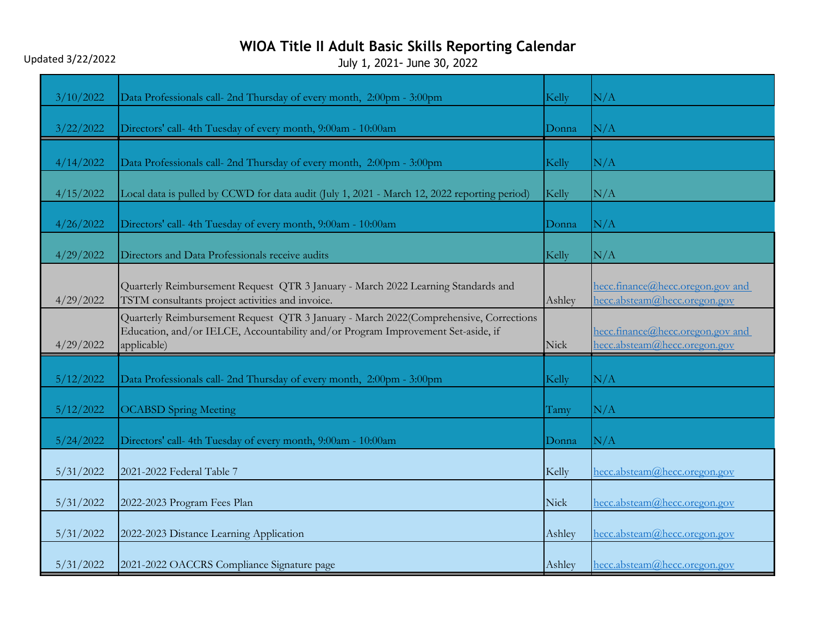Updated 3/22/2022

| 3/10/2022 | Data Professionals call- 2nd Thursday of every month, 2:00pm - 3:00pm                                                                                                                    | Kelly  | N/A                                                              |
|-----------|------------------------------------------------------------------------------------------------------------------------------------------------------------------------------------------|--------|------------------------------------------------------------------|
| 3/22/2022 | Directors' call- 4th Tuesday of every month, 9:00am - 10:00am                                                                                                                            | Donna  | $\rm N/A$                                                        |
| 4/14/2022 | Data Professionals call- 2nd Thursday of every month, 2:00pm - 3:00pm                                                                                                                    | Kelly  | N/A                                                              |
| 4/15/2022 | Local data is pulled by CCWD for data audit (July 1, 2021 - March 12, 2022 reporting period)                                                                                             | Kelly  | N/A                                                              |
| 4/26/2022 | Directors' call- 4th Tuesday of every month, 9:00am - 10:00am                                                                                                                            | Donna  | N/A                                                              |
| 4/29/2022 | Directors and Data Professionals receive audits                                                                                                                                          | Kelly  | N/A                                                              |
| 4/29/2022 | Quarterly Reimbursement Request QTR 3 January - March 2022 Learning Standards and<br>TSTM consultants project activities and invoice.                                                    | Ashley | hecc.finance@hecc.oregon.gov and<br>hecc.absteam@hecc.oregon.gov |
| 4/29/2022 | Quarterly Reimbursement Request QTR 3 January - March 2022(Comprehensive, Corrections<br>Education, and/or IELCE, Accountability and/or Program Improvement Set-aside, if<br>applicable) | Nick   | hecc.finance@hecc.oregon.gov and<br>hecc.absteam@hecc.oregon.gov |
| 5/12/2022 | Data Professionals call- 2nd Thursday of every month, 2:00pm - 3:00pm                                                                                                                    | Kelly  | N/A                                                              |
| 5/12/2022 | <b>OCABSD</b> Spring Meeting                                                                                                                                                             | Tamy   | N/A                                                              |
| 5/24/2022 | Directors' call-4th Tuesday of every month, 9:00am - 10:00am                                                                                                                             | Donna  | N/A                                                              |
| 5/31/2022 | 2021-2022 Federal Table 7                                                                                                                                                                | Kelly  | hecc.absteam@hecc.oregon.gov                                     |
| 5/31/2022 | 2022-2023 Program Fees Plan                                                                                                                                                              | Nick   | hecc.absteam@hecc.oregon.gov                                     |
| 5/31/2022 | 2022-2023 Distance Learning Application                                                                                                                                                  | Ashley | hecc.absteam@hecc.oregon.gov                                     |
| 5/31/2022 | 2021-2022 OACCRS Compliance Signature page                                                                                                                                               | Ashley | hecc.absteam@hecc.oregon.gov                                     |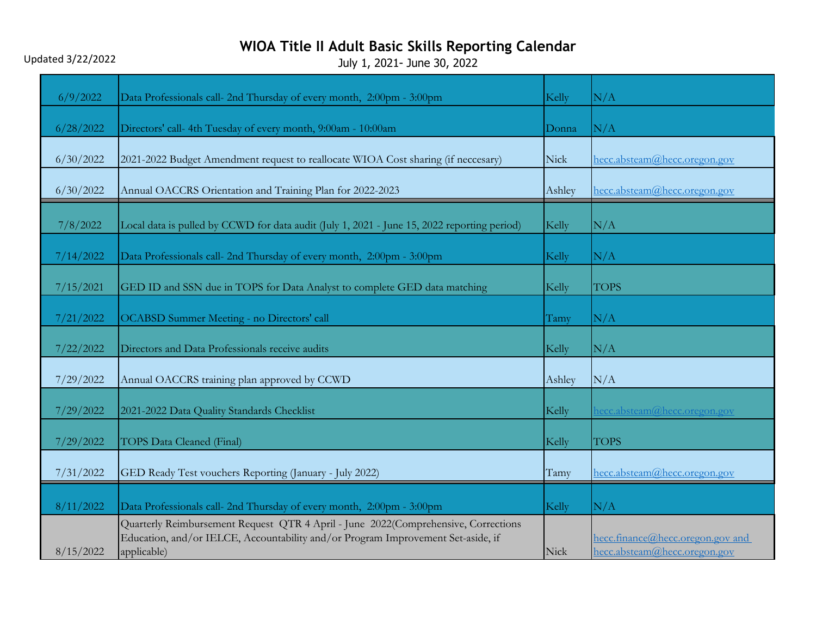Updated 3/22/2022

| 6/9/2022  | Data Professionals call- 2nd Thursday of every month, 2:00pm - 3:00pm                                                                                                                 | Kelly  | N/A                                                              |
|-----------|---------------------------------------------------------------------------------------------------------------------------------------------------------------------------------------|--------|------------------------------------------------------------------|
|           |                                                                                                                                                                                       |        |                                                                  |
| 6/28/2022 | Directors' call- 4th Tuesday of every month, 9:00am - 10:00am                                                                                                                         | Donna  | N/A                                                              |
| 6/30/2022 | 2021-2022 Budget Amendment request to reallocate WIOA Cost sharing (if neccesary)                                                                                                     | Nick   | hecc.absteam@hecc.oregon.gov                                     |
| 6/30/2022 | Annual OACCRS Orientation and Training Plan for 2022-2023                                                                                                                             | Ashley | hecc.absteam@hecc.oregon.gov                                     |
| 7/8/2022  | Local data is pulled by CCWD for data audit (July 1, 2021 - June 15, 2022 reporting period)                                                                                           | Kelly  | N/A                                                              |
| 7/14/2022 | Data Professionals call- 2nd Thursday of every month, 2:00pm - 3:00pm                                                                                                                 | Kelly  | N/A                                                              |
| 7/15/2021 | GED ID and SSN due in TOPS for Data Analyst to complete GED data matching                                                                                                             | Kelly  | <b>TOPS</b>                                                      |
| 7/21/2022 | <b>OCABSD Summer Meeting - no Directors' call</b>                                                                                                                                     | Tamy   | N/A                                                              |
| 7/22/2022 | Directors and Data Professionals receive audits                                                                                                                                       | Kelly  | N/A                                                              |
| 7/29/2022 | Annual OACCRS training plan approved by CCWD                                                                                                                                          | Ashley | N/A                                                              |
| 7/29/2022 | 2021-2022 Data Quality Standards Checklist                                                                                                                                            | Kelly  | hecc.absteam@hecc.oregon.gov                                     |
| 7/29/2022 | <b>TOPS Data Cleaned (Final)</b>                                                                                                                                                      | Kelly  | <b>TOPS</b>                                                      |
| 7/31/2022 | GED Ready Test vouchers Reporting (January - July 2022)                                                                                                                               | Tamy   | hecc.absteam@hecc.oregon.gov                                     |
| 8/11/2022 | Data Professionals call- 2nd Thursday of every month, 2:00pm - 3:00pm                                                                                                                 | Kelly  | N/A                                                              |
| 8/15/2022 | Quarterly Reimbursement Request QTR 4 April - June 2022(Comprehensive, Corrections<br>Education, and/or IELCE, Accountability and/or Program Improvement Set-aside, if<br>applicable) | Nick   | hecc.finance@hecc.oregon.gov and<br>hecc.absteam@hecc.oregon.gov |